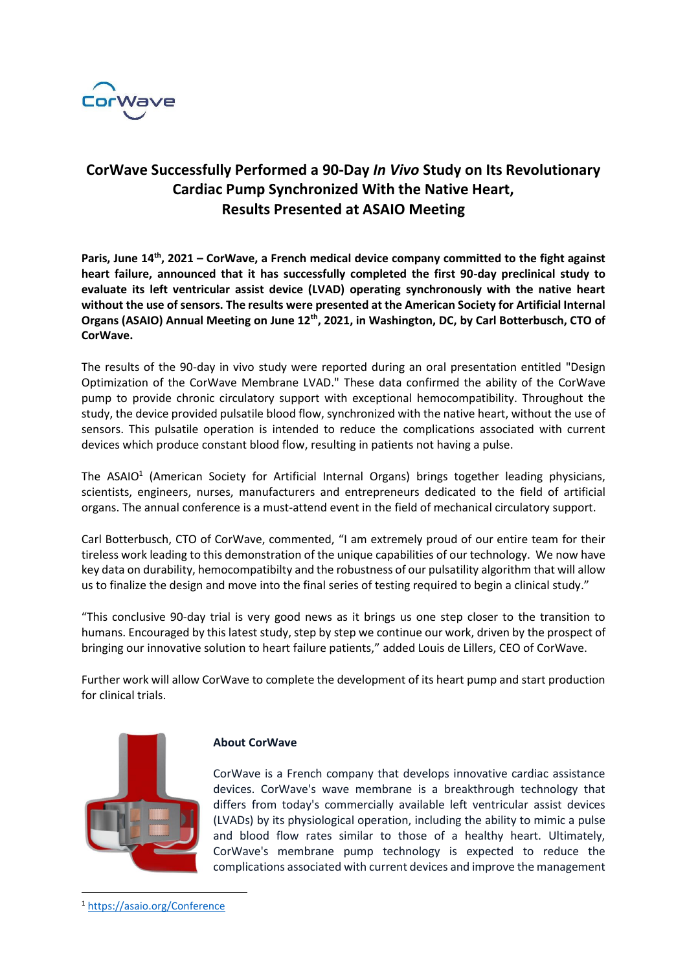

## **CorWave Successfully Performed a 90-Day** *In Vivo* **Study on Its Revolutionary Cardiac Pump Synchronized With the Native Heart, Results Presented at ASAIO Meeting**

**Paris, June 14th, 2021 – CorWave, a French medical device company committed to the fight against heart failure, announced that it has successfully completed the first 90-day preclinical study to evaluate its left ventricular assist device (LVAD) operating synchronously with the native heart without the use of sensors. The results were presented at the American Society for Artificial Internal Organs (ASAIO) Annual Meeting on June 12th, 2021, in Washington, DC, by Carl Botterbusch, CTO of CorWave.**

The results of the 90-day in vivo study were reported during an oral presentation entitled "Design Optimization of the CorWave Membrane LVAD." These data confirmed the ability of the CorWave pump to provide chronic circulatory support with exceptional hemocompatibility. Throughout the study, the device provided pulsatile blood flow, synchronized with the native heart, without the use of sensors. This pulsatile operation is intended to reduce the complications associated with current devices which produce constant blood flow, resulting in patients not having a pulse.

The ASAIO<sup>1</sup> (American Society for Artificial Internal Organs) brings together leading physicians, scientists, engineers, nurses, manufacturers and entrepreneurs dedicated to the field of artificial organs. The annual conference is a must-attend event in the field of mechanical circulatory support.

Carl Botterbusch, CTO of CorWave, commented, "I am extremely proud of our entire team for their tireless work leading to this demonstration of the unique capabilities of our technology. We now have key data on durability, hemocompatibilty and the robustness of our pulsatility algorithm that will allow us to finalize the design and move into the final series of testing required to begin a clinical study."

"This conclusive 90-day trial is very good news as it brings us one step closer to the transition to humans. Encouraged by this latest study, step by step we continue our work, driven by the prospect of bringing our innovative solution to heart failure patients," added Louis de Lillers, CEO of CorWave.

Further work will allow CorWave to complete the development of its heart pump and start production for clinical trials.



## **About CorWave**

CorWave is a French company that develops innovative cardiac assistance devices. CorWave's wave membrane is a breakthrough technology that differs from today's commercially available left ventricular assist devices (LVADs) by its physiological operation, including the ability to mimic a pulse and blood flow rates similar to those of a healthy heart. Ultimately, CorWave's membrane pump technology is expected to reduce the complications associated with current devices and improve the management

<sup>1</sup> [https://asaio.org/Conference](https://asaio.org/Conference/)